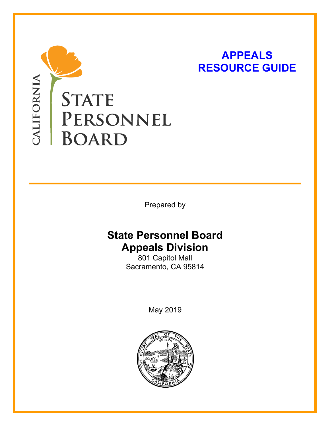

### **APPEALS RESOURCE GUIDE**

Prepared by

### **State Personnel Board Appeals Division**

801 Capitol Mall Sacramento, CA 95814

May 2019

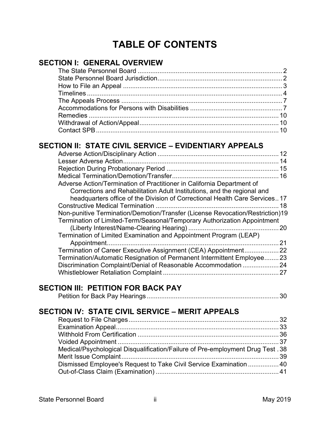### **TABLE OF CONTENTS**

### **SECTION I: GENERAL OVERVIEW**

### **SECTION II: STATE CIVIL SERVICE – EVIDENTIARY APPEALS**

| Lesser Adverse Action.                                                        | 14 |
|-------------------------------------------------------------------------------|----|
|                                                                               | 15 |
|                                                                               |    |
| Adverse Action/Termination of Practitioner in California Department of        |    |
| Corrections and Rehabilitation Adult Institutions, and the regional and       |    |
| headquarters office of the Division of Correctional Health Care Services17    |    |
|                                                                               | 18 |
| Non-punitive Termination/Demotion/Transfer (License Revocation/Restriction)19 |    |
| Termination of Limited-Term/Seasonal/Temporary Authorization Appointment      |    |
|                                                                               |    |
| Termination of Limited Examination and Appointment Program (LEAP)             |    |
|                                                                               | 21 |
| Termination of Career Executive Assignment (CEA) Appointment                  | 22 |
| Termination/Automatic Resignation of Permanent Intermittent Employee 23       |    |
| Discrimination Complaint/Denial of Reasonable Accommodation  24               |    |
|                                                                               | 27 |
|                                                                               |    |

### **SECTION III: PETITION FOR BACK PAY**

|--|--|

### **SECTION IV: STATE CIVIL SERVICE – MERIT APPEALS**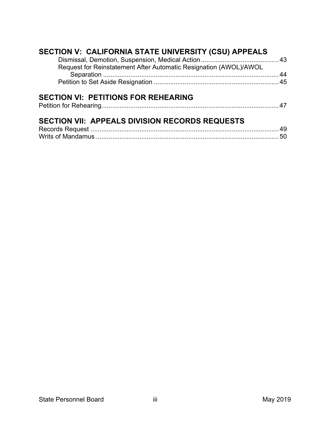| <b>SECTION V: CALIFORNIA STATE UNIVERSITY (CSU) APPEALS</b>       |  |
|-------------------------------------------------------------------|--|
|                                                                   |  |
| Request for Reinstatement After Automatic Resignation (AWOL)/AWOL |  |
|                                                                   |  |
|                                                                   |  |
| <b>SECTION VI: PETITIONS FOR REHEARING</b>                        |  |
| <b>SECTION VII: APPEALS DIVISION RECORDS REQUESTS</b>             |  |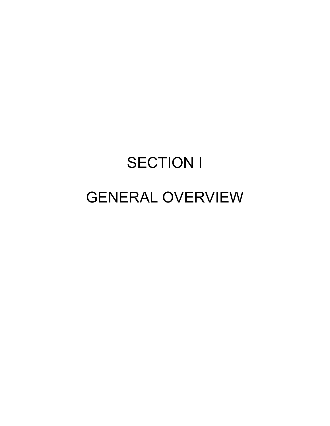# SECTION I GENERAL OVERVIEW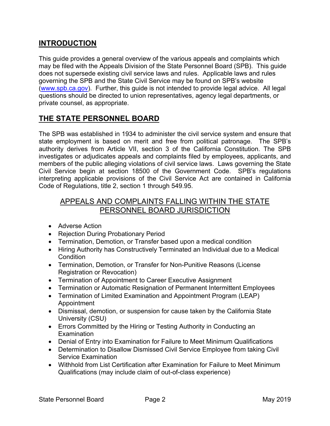### **INTRODUCTION**

This guide provides a general overview of the various appeals and complaints which may be filed with the Appeals Division of the State Personnel Board (SPB). This guide does not supersede existing civil service laws and rules. Applicable laws and rules governing the SPB and the State Civil Service may be found on SPB's website (www.spb.ca.gov). Further, this guide is not intended to provide legal advice. All legal questions should be directed to union representatives, agency legal departments, or private counsel, as appropriate.

### **THE STATE PERSONNEL BOARD**

The SPB was established in 1934 to administer the civil service system and ensure that state employment is based on merit and free from political patronage. The SPB's authority derives from Article VII, section 3 of the California Constitution. The SPB investigates or adjudicates appeals and complaints filed by employees, applicants, and members of the public alleging violations of civil service laws. Laws governing the State Civil Service begin at section 18500 of the Government Code. SPB's regulations interpreting applicable provisions of the Civil Service Act are contained in California Code of Regulations, title 2, section 1 through 549.95.

### APPEALS AND COMPLAINTS FALLING WITHIN THE STATE PERSONNEL BOARD JURISDICTION

- Adverse Action
- Rejection During Probationary Period
- Termination, Demotion, or Transfer based upon a medical condition
- Hiring Authority has Constructively Terminated an Individual due to a Medical **Condition**
- Termination, Demotion, or Transfer for Non-Punitive Reasons (License Registration or Revocation)
- Termination of Appointment to Career Executive Assignment
- Termination or Automatic Resignation of Permanent Intermittent Employees
- Termination of Limited Examination and Appointment Program (LEAP) Appointment
- Dismissal, demotion, or suspension for cause taken by the California State University (CSU)
- Errors Committed by the Hiring or Testing Authority in Conducting an **Examination**
- Denial of Entry into Examination for Failure to Meet Minimum Qualifications
- Determination to Disallow Dismissed Civil Service Employee from taking Civil Service Examination
- Withhold from List Certification after Examination for Failure to Meet Minimum Qualifications (may include claim of out-of-class experience)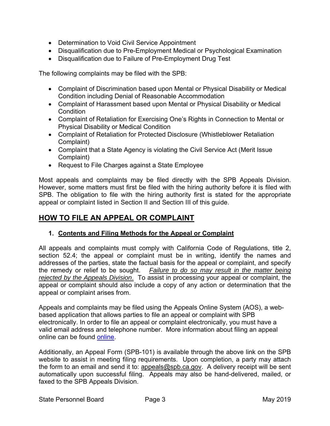- Determination to Void Civil Service Appointment
- Disqualification due to Pre-Employment Medical or Psychological Examination
- Disqualification due to Failure of Pre-Employment Drug Test

The following complaints may be filed with the SPB:

- Complaint of Discrimination based upon Mental or Physical Disability or Medical Condition including Denial of Reasonable Accommodation
- Complaint of Harassment based upon Mental or Physical Disability or Medical **Condition**
- Complaint of Retaliation for Exercising One's Rights in Connection to Mental or Physical Disability or Medical Condition
- Complaint of Retaliation for Protected Disclosure (Whistleblower Retaliation Complaint)
- Complaint that a State Agency is violating the Civil Service Act (Merit Issue Complaint)
- Request to File Charges against a State Employee

Most appeals and complaints may be filed directly with the SPB Appeals Division. However, some matters must first be filed with the hiring authority before it is filed with SPB. The obligation to file with the hiring authority first is stated for the appropriate appeal or complaint listed in Section II and Section III of this guide.

### **HOW TO FILE AN APPEAL OR COMPLAINT**

### **1. Contents and Filing Methods for the Appeal or Complaint**

All appeals and complaints must comply with California Code of Regulations, title 2, section 52.4; the appeal or complaint must be in writing, identify the names and addresses of the parties, state the factual basis for the appeal or complaint, and specify the remedy or relief to be sought. *Failure to do so may result in the matter being rejected by the Appeals Division*. To assist in processing your appeal or complaint, the appeal or complaint should also include a copy of any action or determination that the appeal or complaint arises from.

Appeals and complaints may be filed using the Appeals Online System (AOS), a webbased application that allows parties to file an appeal or complaint with SPB electronically. In order to file an appeal or complaint electronically, you must have a valid email address and telephone number. More information about filing an appeal online can be found online.

Additionally, an Appeal Form (SPB-101) is available through the above link on the SPB website to assist in meeting filing requirements. Upon completion, a party may attach the form to an email and send it to: appeals@spb.ca.gov. A delivery receipt will be sent automatically upon successful filing. Appeals may also be hand-delivered, mailed, or faxed to the SPB Appeals Division.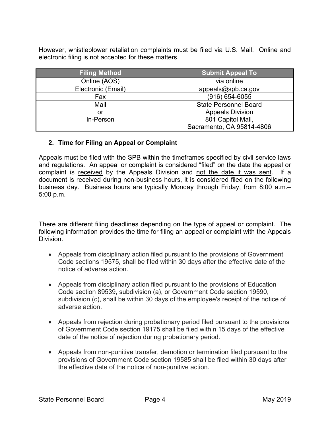However, whistleblower retaliation complaints must be filed via U.S. Mail. Online and electronic filing is not accepted for these matters.

| <b>Filing Method</b>                     | <b>Submit Appeal To</b>      |  |
|------------------------------------------|------------------------------|--|
| Online (AOS)                             | via online                   |  |
| Electronic (Email)<br>appeals@spb.ca.gov |                              |  |
| Fax                                      | $(916) 654 - 6055$           |  |
| Mail                                     | <b>State Personnel Board</b> |  |
| or                                       | <b>Appeals Division</b>      |  |
| In-Person                                | 801 Capitol Mall,            |  |
|                                          | Sacramento, CA 95814-4806    |  |

### **2. Time for Filing an Appeal or Complaint**

Appeals must be filed with the SPB within the timeframes specified by civil service laws and regulations. An appeal or complaint is considered "filed" on the date the appeal or complaint is received by the Appeals Division and not the date it was sent. If a document is received during non-business hours, it is considered filed on the following business day. Business hours are typically Monday through Friday, from 8:00 a.m.– 5:00 p.m.

There are different filing deadlines depending on the type of appeal or complaint. The following information provides the time for filing an appeal or complaint with the Appeals Division.

- Appeals from disciplinary action filed pursuant to the provisions of Government Code sections 19575, shall be filed within 30 days after the effective date of the notice of adverse action.
- Appeals from disciplinary action filed pursuant to the provisions of Education Code section 89539, subdivision (a), or Government Code section 19590, subdivision (c), shall be within 30 days of the employee's receipt of the notice of adverse action.
- Appeals from rejection during probationary period filed pursuant to the provisions of Government Code section 19175 shall be filed within 15 days of the effective date of the notice of rejection during probationary period.
- Appeals from non-punitive transfer, demotion or termination filed pursuant to the provisions of Government Code section 19585 shall be filed within 30 days after the effective date of the notice of non-punitive action.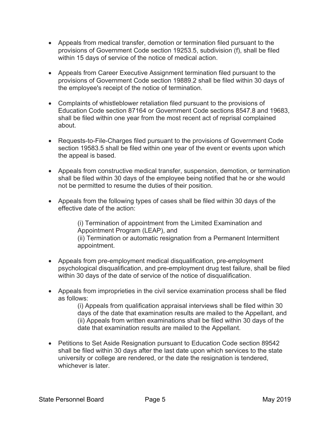- Appeals from medical transfer, demotion or termination filed pursuant to the provisions of Government Code section 19253.5, subdivision (f), shall be filed within 15 days of service of the notice of medical action.
- Appeals from Career Executive Assignment termination filed pursuant to the provisions of Government Code section 19889.2 shall be filed within 30 days of the employee's receipt of the notice of termination.
- Complaints of whistleblower retaliation filed pursuant to the provisions of Education Code section 87164 or Government Code sections 8547.8 and 19683, shall be filed within one year from the most recent act of reprisal complained about.
- Requests-to-File-Charges filed pursuant to the provisions of Government Code section 19583.5 shall be filed within one year of the event or events upon which the appeal is based.
- Appeals from constructive medical transfer, suspension, demotion, or termination shall be filed within 30 days of the employee being notified that he or she would not be permitted to resume the duties of their position.
- Appeals from the following types of cases shall be filed within 30 days of the effective date of the action:

(i) Termination of appointment from the Limited Examination and Appointment Program (LEAP), and (ii) Termination or automatic resignation from a Permanent Intermittent appointment.

- Appeals from pre-employment medical disqualification, pre-employment psychological disqualification, and pre-employment drug test failure, shall be filed within 30 days of the date of service of the notice of disqualification.
- Appeals from improprieties in the civil service examination process shall be filed as follows:

(i) Appeals from qualification appraisal interviews shall be filed within 30 days of the date that examination results are mailed to the Appellant, and (ii) Appeals from written examinations shall be filed within 30 days of the date that examination results are mailed to the Appellant.

• Petitions to Set Aside Resignation pursuant to Education Code section 89542 shall be filed within 30 days after the last date upon which services to the state university or college are rendered, or the date the resignation is tendered, whichever is later.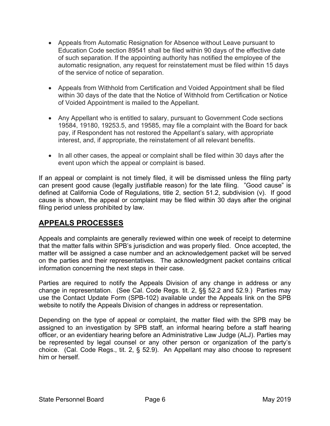- Appeals from Automatic Resignation for Absence without Leave pursuant to Education Code section 89541 shall be filed within 90 days of the effective date of such separation. If the appointing authority has notified the employee of the automatic resignation, any request for reinstatement must be filed within 15 days of the service of notice of separation.
- Appeals from Withhold from Certification and Voided Appointment shall be filed within 30 days of the date that the Notice of Withhold from Certification or Notice of Voided Appointment is mailed to the Appellant.
- Any Appellant who is entitled to salary, pursuant to Government Code sections 19584, 19180, 19253.5, and 19585, may file a complaint with the Board for back pay, if Respondent has not restored the Appellant's salary, with appropriate interest, and, if appropriate, the reinstatement of all relevant benefits.
- In all other cases, the appeal or complaint shall be filed within 30 days after the event upon which the appeal or complaint is based.

If an appeal or complaint is not timely filed, it will be dismissed unless the filing party can present good cause (legally justifiable reason) for the late filing. "Good cause" is defined at California Code of Regulations, title 2, section 51.2, subdivision (v). If good cause is shown, the appeal or complaint may be filed within 30 days after the original filing period unless prohibited by law.

### **APPEALS PROCESSES**

Appeals and complaints are generally reviewed within one week of receipt to determine that the matter falls within SPB's jurisdiction and was properly filed. Once accepted, the matter will be assigned a case number and an acknowledgement packet will be served on the parties and their representatives. The acknowledgment packet contains critical information concerning the next steps in their case.

Parties are required to notify the Appeals Division of any change in address or any change in representation. (See Cal. Code Regs. tit. 2, §§ 52.2 and 52.9.) Parties may use the Contact Update Form (SPB-102) available under the Appeals link on the SPB website to notify the Appeals Division of changes in address or representation.

Depending on the type of appeal or complaint, the matter filed with the SPB may be assigned to an investigation by SPB staff, an informal hearing before a staff hearing officer, or an evidentiary hearing before an Administrative Law Judge (ALJ). Parties may be represented by legal counsel or any other person or organization of the party's choice. (Cal. Code Regs., tit. 2, § 52.9). An Appellant may also choose to represent him or herself.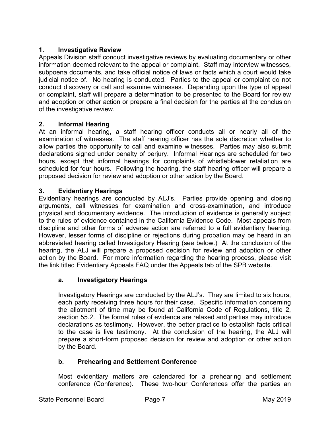### **1. Investigative Review**

Appeals Division staff conduct investigative reviews by evaluating documentary or other information deemed relevant to the appeal or complaint. Staff may interview witnesses, subpoena documents, and take official notice of laws or facts which a court would take judicial notice of. No hearing is conducted. Parties to the appeal or complaint do not conduct discovery or call and examine witnesses. Depending upon the type of appeal or complaint, staff will prepare a determination to be presented to the Board for review and adoption or other action or prepare a final decision for the parties at the conclusion of the investigative review.

### **2. Informal Hearing**

At an informal hearing, a staff hearing officer conducts all or nearly all of the examination of witnesses. The staff hearing officer has the sole discretion whether to allow parties the opportunity to call and examine witnesses. Parties may also submit declarations signed under penalty of perjury. Informal Hearings are scheduled for two hours, except that informal hearings for complaints of whistleblower retaliation are scheduled for four hours. Following the hearing, the staff hearing officer will prepare a proposed decision for review and adoption or other action by the Board.

### **3. Evidentiary Hearings**

Evidentiary hearings are conducted by ALJ's. Parties provide opening and closing arguments, call witnesses for examination and cross-examination, and introduce physical and documentary evidence. The introduction of evidence is generally subject to the rules of evidence contained in the California Evidence Code. Most appeals from discipline and other forms of adverse action are referred to a full evidentiary hearing. However, lesser forms of discipline or rejections during probation may be heard in an abbreviated hearing called Investigatory Hearing (see below.) At the conclusion of the hearing, the ALJ will prepare a proposed decision for review and adoption or other action by the Board. For more information regarding the hearing process, please visit the link titled Evidentiary Appeals FAQ under the Appeals tab of the SPB website.

### **a. Investigatory Hearings**

Investigatory Hearings are conducted by the ALJ's. They are limited to six hours, each party receiving three hours for their case. Specific information concerning the allotment of time may be found at California Code of Regulations, title 2, section 55.2. The formal rules of evidence are relaxed and parties may introduce declarations as testimony. However, the better practice to establish facts critical to the case is live testimony. At the conclusion of the hearing, the ALJ will prepare a short-form proposed decision for review and adoption or other action by the Board.

### **b. Prehearing and Settlement Conference**

Most evidentiary matters are calendared for a prehearing and settlement conference (Conference). These two-hour Conferences offer the parties an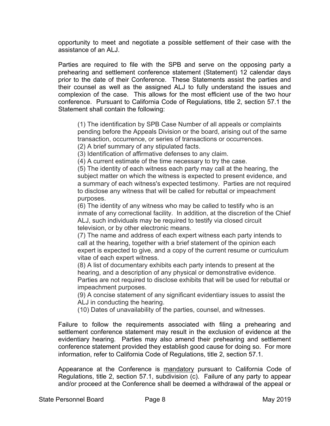opportunity to meet and negotiate a possible settlement of their case with the assistance of an ALJ.

Parties are required to file with the SPB and serve on the opposing party a prehearing and settlement conference statement (Statement) 12 calendar days prior to the date of their Conference. These Statements assist the parties and their counsel as well as the assigned ALJ to fully understand the issues and complexion of the case. This allows for the most efficient use of the two hour conference. Pursuant to California Code of Regulations, title 2, section 57.1 the Statement shall contain the following:

(1) The identification by SPB Case Number of all appeals or complaints pending before the Appeals Division or the board, arising out of the same transaction, occurrence, or series of transactions or occurrences.

(2) A brief summary of any stipulated facts.

(3) Identification of affirmative defenses to any claim.

(4) A current estimate of the time necessary to try the case.

(5) The identity of each witness each party may call at the hearing, the subject matter on which the witness is expected to present evidence, and a summary of each witness's expected testimony. Parties are not required to disclose any witness that will be called for rebuttal or impeachment purposes.

(6) The identity of any witness who may be called to testify who is an inmate of any correctional facility. In addition, at the discretion of the Chief ALJ, such individuals may be required to testify via closed circuit television, or by other electronic means.

(7) The name and address of each expert witness each party intends to call at the hearing, together with a brief statement of the opinion each expert is expected to give, and a copy of the current resume or curriculum vitae of each expert witness.

(8) A list of documentary exhibits each party intends to present at the hearing, and a description of any physical or demonstrative evidence. Parties are not required to disclose exhibits that will be used for rebuttal or impeachment purposes.

(9) A concise statement of any significant evidentiary issues to assist the ALJ in conducting the hearing.

(10) Dates of unavailability of the parties, counsel, and witnesses.

Failure to follow the requirements associated with filing a prehearing and settlement conference statement may result in the exclusion of evidence at the evidentiary hearing. Parties may also amend their prehearing and settlement conference statement provided they establish good cause for doing so. For more information, refer to California Code of Regulations, title 2, section 57.1.

Appearance at the Conference is mandatory pursuant to California Code of Regulations, title 2, section 57.1, subdivision (c). Failure of any party to appear and/or proceed at the Conference shall be deemed a withdrawal of the appeal or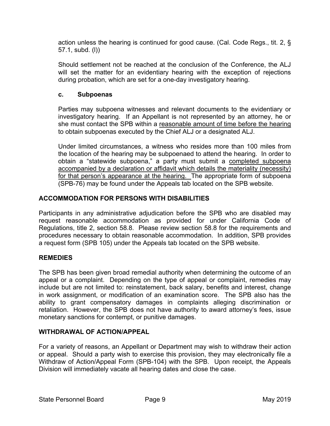action unless the hearing is continued for good cause. (Cal. Code Regs., tit. 2, § 57.1, subd. (l))

Should settlement not be reached at the conclusion of the Conference, the ALJ will set the matter for an evidentiary hearing with the exception of rejections during probation, which are set for a one-day investigatory hearing.

### **c. Subpoenas**

Parties may subpoena witnesses and relevant documents to the evidentiary or investigatory hearing. If an Appellant is not represented by an attorney, he or she must contact the SPB within a reasonable amount of time before the hearing to obtain subpoenas executed by the Chief ALJ or a designated ALJ.

Under limited circumstances, a witness who resides more than 100 miles from the location of the hearing may be subpoenaed to attend the hearing. In order to obtain a "statewide subpoena," a party must submit a completed subpoena accompanied by a declaration or affidavit which details the materiality (necessity) for that person's appearance at the hearing. The appropriate form of subpoena (SPB-76) may be found under the Appeals tab located on the SPB website.

### **ACCOMMODATION FOR PERSONS WITH DISABILITIES**

Participants in any administrative adjudication before the SPB who are disabled may request reasonable accommodation as provided for under California Code of Regulations, title 2, section 58.8. Please review section 58.8 for the requirements and procedures necessary to obtain reasonable accommodation. In addition, SPB provides a request form (SPB 105) under the Appeals tab located on the SPB website.

### **REMEDIES**

The SPB has been given broad remedial authority when determining the outcome of an appeal or a complaint. Depending on the type of appeal or complaint, remedies may include but are not limited to: reinstatement, back salary, benefits and interest, change in work assignment, or modification of an examination score. The SPB also has the ability to grant compensatory damages in complaints alleging discrimination or retaliation. However, the SPB does not have authority to award attorney's fees, issue monetary sanctions for contempt, or punitive damages.

### **WITHDRAWAL OF ACTION/APPEAL**

For a variety of reasons, an Appellant or Department may wish to withdraw their action or appeal. Should a party wish to exercise this provision, they may electronically file a Withdraw of Action/Appeal Form (SPB-104) with the SPB. Upon receipt, the Appeals Division will immediately vacate all hearing dates and close the case.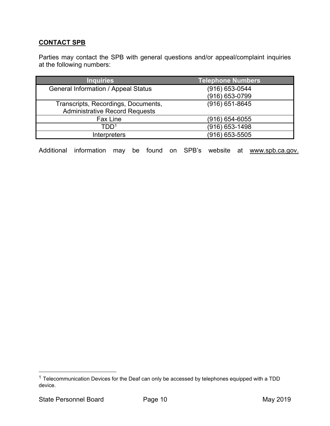### **CONTACT SPB**

Parties may contact the SPB with general questions and/or appeal/complaint inquiries at the following numbers:

| <b>Inquiries</b>                           | Telephone Numbers |
|--------------------------------------------|-------------------|
| <b>General Information / Appeal Status</b> | (916) 653-0544    |
|                                            | (916) 653-0799    |
| Transcripts, Recordings, Documents,        | $(916)$ 651-8645  |
| <b>Administrative Record Requests</b>      |                   |
| <b>Fax Line</b>                            | (916) 654-6055    |
| TDD <sup>1</sup>                           | (916) 653-1498    |
| <b>Interpreters</b>                        | (916) 653-5505    |

Additional information may be found on SPB's website at www.spb.ca.gov.

 $\overline{a}$ 

 $1$  Telecommunication Devices for the Deaf can only be accessed by telephones equipped with a TDD device.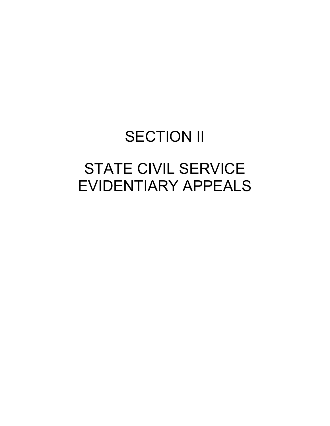# **SECTION II** STATE CIVIL SERVICE EVIDENTIARY APPEALS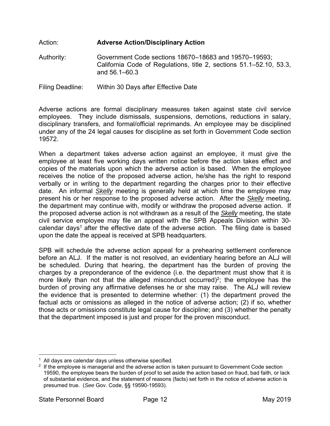Authority: Government Code sections 18670–18683 and 19570–19593; California Code of Regulations, title 2, sections 51.1–52.10, 53.3, and 56.1–60.3

Filing Deadline: Within 30 Days after Effective Date

Adverse actions are formal disciplinary measures taken against state civil service employees. They include dismissals, suspensions, demotions, reductions in salary, disciplinary transfers, and formal/official reprimands. An employee may be disciplined under any of the 24 legal causes for discipline as set forth in Government Code section 19572.

When a department takes adverse action against an employee, it must give the employee at least five working days written notice before the action takes effect and copies of the materials upon which the adverse action is based. When the employee receives the notice of the proposed adverse action, he/she has the right to respond verbally or in writing to the department regarding the charges prior to their effective date. An informal *Skelly* meeting is generally held at which time the employee may present his or her response to the proposed adverse action. After the *Skelly* meeting, the department may continue with, modify or withdraw the proposed adverse action. If the proposed adverse action is not withdrawn as a result of the *Skelly* meeting, the state civil service employee may file an appeal with the SPB Appeals Division within 30 calendar days<sup>1</sup> after the effective date of the adverse action. The filing date is based upon the date the appeal is received at SPB headquarters.

SPB will schedule the adverse action appeal for a prehearing settlement conference before an ALJ. If the matter is not resolved, an evidentiary hearing before an ALJ will be scheduled. During that hearing, the department has the burden of proving the charges by a preponderance of the evidence (i.e. the department must show that it is more likely than not that the alleged misconduct occurred)<sup>2</sup>; the employee has the burden of proving any affirmative defenses he or she may raise. The ALJ will review the evidence that is presented to determine whether: (1) the department proved the factual acts or omissions as alleged in the notice of adverse action; (2) if so, whether those acts or omissions constitute legal cause for discipline; and (3) whether the penalty that the department imposed is just and proper for the proven misconduct.

 $\overline{a}$  $1$  All days are calendar days unless otherwise specified.

 $2$  If the employee is managerial and the adverse action is taken pursuant to Government Code section 19590, the employee bears the burden of proof to set aside the action based on fraud, bad faith, or lack of substantial evidence, and the statement of reasons (facts) set forth in the notice of adverse action is presumed true. (*See* Gov. Code, §§ 19590-19593).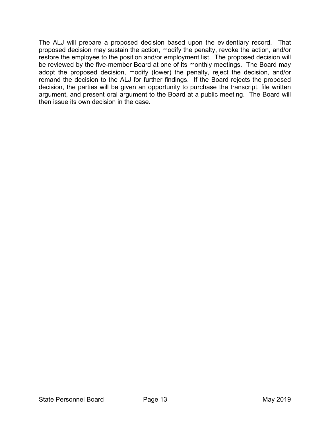The ALJ will prepare a proposed decision based upon the evidentiary record. That proposed decision may sustain the action, modify the penalty, revoke the action, and/or restore the employee to the position and/or employment list. The proposed decision will be reviewed by the five-member Board at one of its monthly meetings. The Board may adopt the proposed decision, modify (lower) the penalty, reject the decision, and/or remand the decision to the ALJ for further findings. If the Board rejects the proposed decision, the parties will be given an opportunity to purchase the transcript, file written argument, and present oral argument to the Board at a public meeting. The Board will then issue its own decision in the case.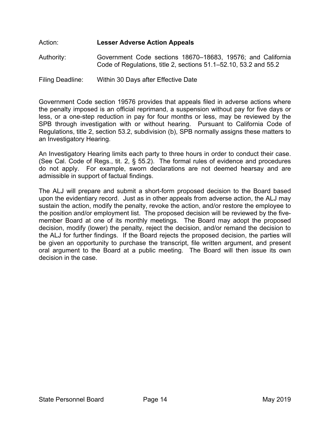### Action: **Lesser Adverse Action Appeals**

Authority: Government Code sections 18670–18683, 19576; and California Code of Regulations, title 2, sections 51.1–52.10, 53.2 and 55.2

Filing Deadline: Within 30 Days after Effective Date

Government Code section 19576 provides that appeals filed in adverse actions where the penalty imposed is an official reprimand, a suspension without pay for five days or less, or a one-step reduction in pay for four months or less, may be reviewed by the SPB through investigation with or without hearing. Pursuant to California Code of Regulations, title 2, section 53.2, subdivision (b), SPB normally assigns these matters to an Investigatory Hearing.

An Investigatory Hearing limits each party to three hours in order to conduct their case. (See Cal. Code of Regs., tit. 2, § 55.2). The formal rules of evidence and procedures do not apply. For example, sworn declarations are not deemed hearsay and are admissible in support of factual findings.

The ALJ will prepare and submit a short-form proposed decision to the Board based upon the evidentiary record. Just as in other appeals from adverse action, the ALJ may sustain the action, modify the penalty, revoke the action, and/or restore the employee to the position and/or employment list. The proposed decision will be reviewed by the fivemember Board at one of its monthly meetings. The Board may adopt the proposed decision, modify (lower) the penalty, reject the decision, and/or remand the decision to the ALJ for further findings. If the Board rejects the proposed decision, the parties will be given an opportunity to purchase the transcript, file written argument, and present oral argument to the Board at a public meeting. The Board will then issue its own decision in the case.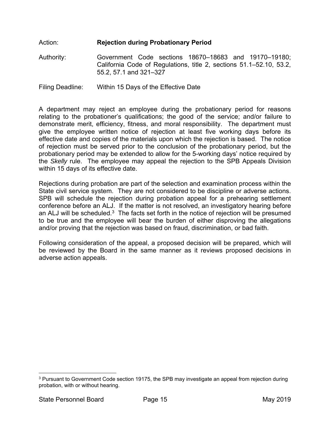Action: **Rejection during Probationary Period** 

Authority: Government Code sections 18670–18683 and 19170–19180; California Code of Regulations, title 2, sections 51.1–52.10, 53.2, 55.2, 57.1 and 321–327

Filing Deadline: Within 15 Days of the Effective Date

A department may reject an employee during the probationary period for reasons relating to the probationer's qualifications; the good of the service; and/or failure to demonstrate merit, efficiency, fitness, and moral responsibility. The department must give the employee written notice of rejection at least five working days before its effective date and copies of the materials upon which the rejection is based. The notice of rejection must be served prior to the conclusion of the probationary period, but the probationary period may be extended to allow for the 5-working days' notice required by the *Skelly* rule. The employee may appeal the rejection to the SPB Appeals Division within 15 days of its effective date.

Rejections during probation are part of the selection and examination process within the State civil service system. They are not considered to be discipline or adverse actions. SPB will schedule the rejection during probation appeal for a prehearing settlement conference before an ALJ. If the matter is not resolved, an investigatory hearing before an ALJ will be scheduled. $3$  The facts set forth in the notice of rejection will be presumed to be true and the employee will bear the burden of either disproving the allegations and/or proving that the rejection was based on fraud, discrimination, or bad faith.

Following consideration of the appeal, a proposed decision will be prepared, which will be reviewed by the Board in the same manner as it reviews proposed decisions in adverse action appeals.

 $\overline{a}$ <sup>3</sup> Pursuant to Government Code section 19175, the SPB may investigate an appeal from rejection during probation, with or without hearing.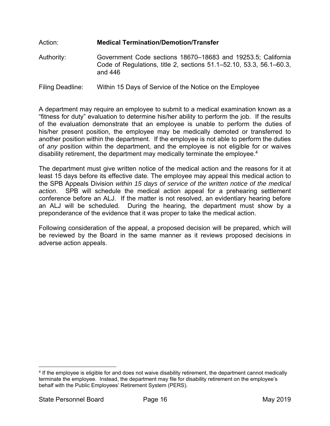| Action:    | <b>Medical Termination/Demotion/Transfer</b>                                                                                                   |  |
|------------|------------------------------------------------------------------------------------------------------------------------------------------------|--|
| Authority: | Government Code sections 18670–18683 and 19253.5; California<br>Code of Regulations, title 2, sections 51.1–52.10, 53.3, 56.1–60.3,<br>and 446 |  |

Filing Deadline: Within 15 Days of Service of the Notice on the Employee

A department may require an employee to submit to a medical examination known as a "fitness for duty" evaluation to determine his/her ability to perform the job. If the results of the evaluation demonstrate that an employee is unable to perform the duties of his/her present position, the employee may be medically demoted or transferred to another position within the department. If the employee is not able to perform the duties of *any* position within the department, and the employee is not eligible for or waives disability retirement, the department may medically terminate the employee.<sup>4</sup>

The department must give written notice of the medical action and the reasons for it at least 15 days before its effective date. The employee may appeal this medical action to the SPB Appeals Division *within 15 days of service of the written notice of the medical action*. SPB will schedule the medical action appeal for a prehearing settlement conference before an ALJ. If the matter is not resolved, an evidentiary hearing before an ALJ will be scheduled. During the hearing, the department must show by a preponderance of the evidence that it was proper to take the medical action.

Following consideration of the appeal, a proposed decision will be prepared, which will be reviewed by the Board in the same manner as it reviews proposed decisions in adverse action appeals.

<sup>1</sup> <sup>4</sup> If the employee is eligible for and does not waive disability retirement, the department cannot medically terminate the employee. Instead, the department may file for disability retirement on the employee's behalf with the Public Employees' Retirement System (PERS).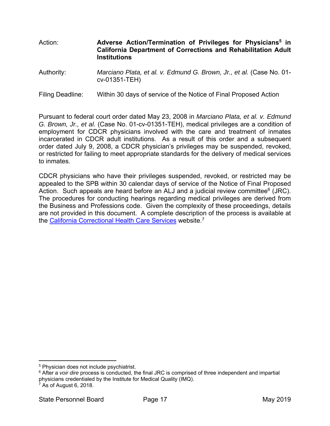Action: **Adverse Action/Termination of Privileges for Physicians<sup>5</sup> in California Department of Corrections and Rehabilitation Adult Institutions** 

Authority: *Marciano Plata, et al. v. Edmund G. Brown, Jr., et al.* (Case No. 01 cv-01351-TEH)

Filing Deadline: Within 30 days of service of the Notice of Final Proposed Action

Pursuant to federal court order dated May 23, 2008 in *Marciano Plata, et al. v. Edmund G. Brown, Jr., et al.* (Case No. 01-cv-01351-TEH), medical privileges are a condition of employment for CDCR physicians involved with the care and treatment of inmates incarcerated in CDCR adult institutions. As a result of this order and a subsequent order dated July 9, 2008, a CDCR physician's privileges may be suspended, revoked, or restricted for failing to meet appropriate standards for the delivery of medical services to inmates.

CDCR physicians who have their privileges suspended, revoked, or restricted may be appealed to the SPB within 30 calendar days of service of the Notice of Final Proposed Action. Such appeals are heard before an ALJ and a judicial review committee $<sup>6</sup>$  (JRC).</sup> The procedures for conducting hearings regarding medical privileges are derived from the Business and Professions code. Given the complexity of these proceedings, details are not provided in this document. A complete description of the process is available at the California Correctional Health Care Services website.7

 $\overline{a}$ 5 Physician does not include psychiatrist.

<sup>&</sup>lt;sup>6</sup> After a *voir dire* process is conducted, the final JRC is comprised of three independent and impartial physicians credentialed by the Institute for Medical Quality (IMQ).

 $7$  As of August 6, 2018.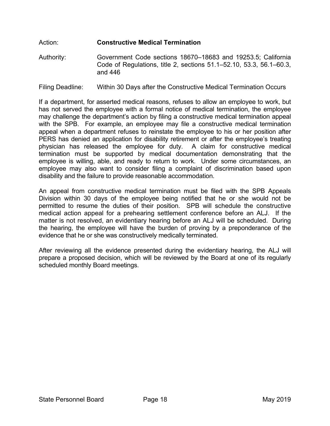### Action: **Constructive Medical Termination**

Authority: Government Code sections 18670–18683 and 19253.5; California Code of Regulations, title 2, sections 51.1–52.10, 53.3, 56.1–60.3, and 446

Filing Deadline: Within 30 Days after the Constructive Medical Termination Occurs

If a department, for asserted medical reasons, refuses to allow an employee to work, but has not served the employee with a formal notice of medical termination, the employee may challenge the department's action by filing a constructive medical termination appeal with the SPB. For example, an employee may file a constructive medical termination appeal when a department refuses to reinstate the employee to his or her position after PERS has denied an application for disability retirement or after the employee's treating physician has released the employee for duty. A claim for constructive medical termination must be supported by medical documentation demonstrating that the employee is willing, able, and ready to return to work. Under some circumstances, an employee may also want to consider filing a complaint of discrimination based upon disability and the failure to provide reasonable accommodation.

An appeal from constructive medical termination must be filed with the SPB Appeals Division within 30 days of the employee being notified that he or she would not be permitted to resume the duties of their position. SPB will schedule the constructive medical action appeal for a prehearing settlement conference before an ALJ. If the matter is not resolved, an evidentiary hearing before an ALJ will be scheduled. During the hearing, the employee will have the burden of proving by a preponderance of the evidence that he or she was constructively medically terminated.

After reviewing all the evidence presented during the evidentiary hearing, the ALJ will prepare a proposed decision, which will be reviewed by the Board at one of its regularly scheduled monthly Board meetings.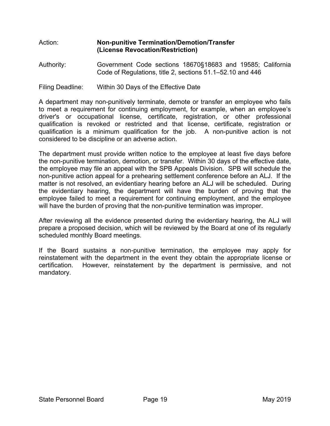### Action: **Non-punitive Termination/Demotion/Transfer (License Revocation/Restriction)**

Authority: Government Code sections 18670§18683 and 19585; California Code of Regulations, title 2, sections 51.1–52.10 and 446

Filing Deadline: Within 30 Days of the Effective Date

A department may non-punitively terminate, demote or transfer an employee who fails to meet a requirement for continuing employment, for example, when an employee's driver's or occupational license, certificate, registration, or other professional qualification is revoked or restricted and that license, certificate, registration or qualification is a minimum qualification for the job. A non-punitive action is not considered to be discipline or an adverse action.

The department must provide written notice to the employee at least five days before the non-punitive termination, demotion, or transfer. Within 30 days of the effective date, the employee may file an appeal with the SPB Appeals Division. SPB will schedule the non-punitive action appeal for a prehearing settlement conference before an ALJ. If the matter is not resolved, an evidentiary hearing before an ALJ will be scheduled. During the evidentiary hearing, the department will have the burden of proving that the employee failed to meet a requirement for continuing employment, and the employee will have the burden of proving that the non-punitive termination was improper.

After reviewing all the evidence presented during the evidentiary hearing, the ALJ will prepare a proposed decision, which will be reviewed by the Board at one of its regularly scheduled monthly Board meetings.

If the Board sustains a non-punitive termination, the employee may apply for reinstatement with the department in the event they obtain the appropriate license or certification. However, reinstatement by the department is permissive, and not mandatory.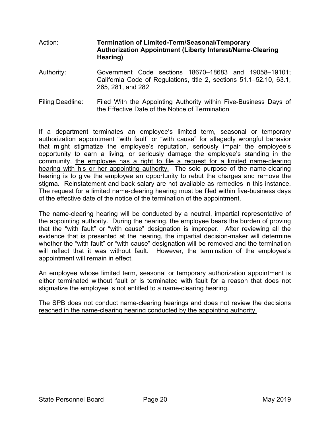| Action: | <b>Termination of Limited-Term/Seasonal/Temporary</b><br><b>Authorization Appointment (Liberty Interest/Name-Clearing</b> |
|---------|---------------------------------------------------------------------------------------------------------------------------|
|         |                                                                                                                           |
|         | Hearing)                                                                                                                  |
|         |                                                                                                                           |

- Authority: Government Code sections 18670–18683 and 19058–19101; California Code of Regulations, title 2, sections 51.1–52.10, 63.1, 265, 281, and 282
- Filing Deadline: Filed With the Appointing Authority within Five-Business Days of the Effective Date of the Notice of Termination

If a department terminates an employee's limited term, seasonal or temporary authorization appointment "with fault" or "with cause" for allegedly wrongful behavior that might stigmatize the employee's reputation, seriously impair the employee's opportunity to earn a living, or seriously damage the employee's standing in the community, the employee has a right to file a request for a limited name-clearing hearing with his or her appointing authority. The sole purpose of the name-clearing hearing is to give the employee an opportunity to rebut the charges and remove the stigma. Reinstatement and back salary are not available as remedies in this instance. The request for a limited name-clearing hearing must be filed within five-business days of the effective date of the notice of the termination of the appointment.

The name-clearing hearing will be conducted by a neutral, impartial representative of the appointing authority. During the hearing, the employee bears the burden of proving that the "with fault" or "with cause" designation is improper. After reviewing all the evidence that is presented at the hearing, the impartial decision-maker will determine whether the "with fault" or "with cause" designation will be removed and the termination will reflect that it was without fault. However, the termination of the employee's appointment will remain in effect.

An employee whose limited term, seasonal or temporary authorization appointment is either terminated without fault or is terminated with fault for a reason that does not stigmatize the employee is not entitled to a name-clearing hearing.

The SPB does not conduct name-clearing hearings and does not review the decisions reached in the name-clearing hearing conducted by the appointing authority.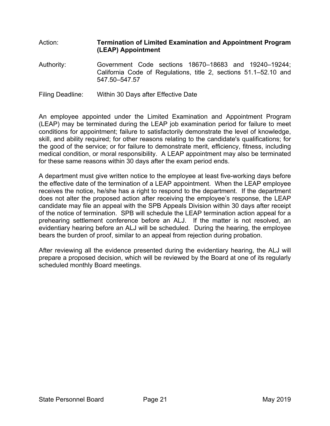Action: **Termination of Limited Examination and Appointment Program (LEAP) Appointment**  Authority: Government Code sections 18670–18683 and 19240–19244; California Code of Regulations, title 2, sections 51.1–52.10 and 547.50–547.57

Filing Deadline: Within 30 Days after Effective Date

An employee appointed under the Limited Examination and Appointment Program (LEAP) may be terminated during the LEAP job examination period for failure to meet conditions for appointment; failure to satisfactorily demonstrate the level of knowledge, skill, and ability required; for other reasons relating to the candidate's qualifications; for the good of the service; or for failure to demonstrate merit, efficiency, fitness, including medical condition, or moral responsibility. A LEAP appointment may also be terminated for these same reasons within 30 days after the exam period ends.

A department must give written notice to the employee at least five-working days before the effective date of the termination of a LEAP appointment. When the LEAP employee receives the notice, he/she has a right to respond to the department. If the department does not alter the proposed action after receiving the employee's response, the LEAP candidate may file an appeal with the SPB Appeals Division within 30 days after receipt of the notice of termination. SPB will schedule the LEAP termination action appeal for a prehearing settlement conference before an ALJ. If the matter is not resolved, an evidentiary hearing before an ALJ will be scheduled. During the hearing, the employee bears the burden of proof, similar to an appeal from rejection during probation.

After reviewing all the evidence presented during the evidentiary hearing, the ALJ will prepare a proposed decision, which will be reviewed by the Board at one of its regularly scheduled monthly Board meetings.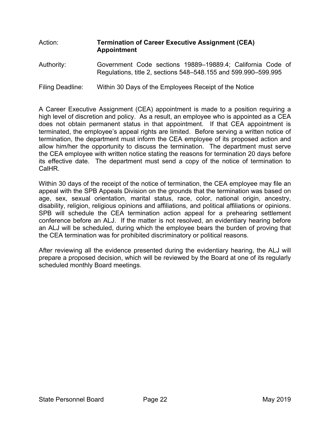### Action: **Termination of Career Executive Assignment (CEA) Appointment**

Authority: Government Code sections 19889–19889.4; California Code of Regulations, title 2, sections 548–548.155 and 599.990–599.995

Filing Deadline: Within 30 Days of the Employees Receipt of the Notice

A Career Executive Assignment (CEA) appointment is made to a position requiring a high level of discretion and policy. As a result, an employee who is appointed as a CEA does not obtain permanent status in that appointment. If that CEA appointment is terminated, the employee's appeal rights are limited. Before serving a written notice of termination, the department must inform the CEA employee of its proposed action and allow him/her the opportunity to discuss the termination. The department must serve the CEA employee with written notice stating the reasons for termination 20 days before its effective date. The department must send a copy of the notice of termination to CalHR.

Within 30 days of the receipt of the notice of termination, the CEA employee may file an appeal with the SPB Appeals Division on the grounds that the termination was based on age, sex, sexual orientation, marital status, race, color, national origin, ancestry, disability, religion, religious opinions and affiliations, and political affiliations or opinions. SPB will schedule the CEA termination action appeal for a prehearing settlement conference before an ALJ. If the matter is not resolved, an evidentiary hearing before an ALJ will be scheduled, during which the employee bears the burden of proving that the CEA termination was for prohibited discriminatory or political reasons.

After reviewing all the evidence presented during the evidentiary hearing, the ALJ will prepare a proposed decision, which will be reviewed by the Board at one of its regularly scheduled monthly Board meetings.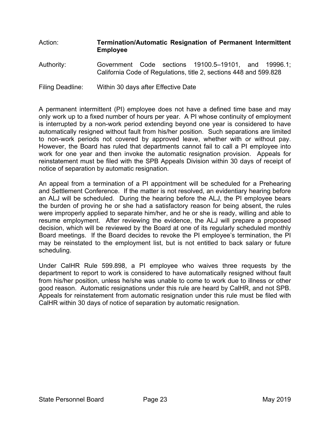### Action: **Termination/Automatic Resignation of Permanent Intermittent Employee**

Authority: Government Code sections 19100.5–19101, and 19996.1; California Code of Regulations, title 2, sections 448 and 599.828

Filing Deadline: Within 30 days after Effective Date

A permanent intermittent (PI) employee does not have a defined time base and may only work up to a fixed number of hours per year. A PI whose continuity of employment is interrupted by a non-work period extending beyond one year is considered to have automatically resigned without fault from his/her position. Such separations are limited to non-work periods not covered by approved leave, whether with or without pay. However, the Board has ruled that departments cannot fail to call a PI employee into work for one year and then invoke the automatic resignation provision. Appeals for reinstatement must be filed with the SPB Appeals Division within 30 days of receipt of notice of separation by automatic resignation.

An appeal from a termination of a PI appointment will be scheduled for a Prehearing and Settlement Conference. If the matter is not resolved, an evidentiary hearing before an ALJ will be scheduled. During the hearing before the ALJ, the PI employee bears the burden of proving he or she had a satisfactory reason for being absent, the rules were improperly applied to separate him/her, and he or she is ready, willing and able to resume employment. After reviewing the evidence, the ALJ will prepare a proposed decision, which will be reviewed by the Board at one of its regularly scheduled monthly Board meetings. If the Board decides to revoke the PI employee's termination, the PI may be reinstated to the employment list, but is not entitled to back salary or future scheduling.

Under CalHR Rule 599.898, a PI employee who waives three requests by the department to report to work is considered to have automatically resigned without fault from his/her position, unless he/she was unable to come to work due to illness or other good reason. Automatic resignations under this rule are heard by CalHR, and not SPB. Appeals for reinstatement from automatic resignation under this rule must be filed with CalHR within 30 days of notice of separation by automatic resignation.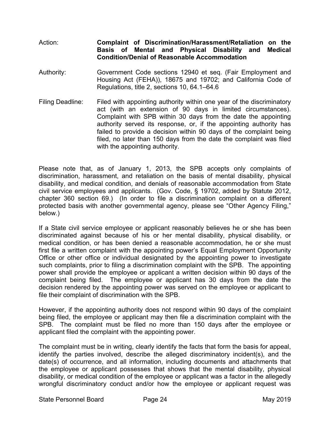- Action: **Complaint of Discrimination/Harassment/Retaliation on the Basis of Mental and Physical Disability and Medical Condition/Denial of Reasonable Accommodation**
- Authority: Government Code sections 12940 et seq. (Fair Employment and Housing Act (FEHA)), 18675 and 19702; and California Code of Regulations, title 2, sections 10, 64.1–64.6
- Filing Deadline: Filed with appointing authority within one year of the discriminatory act (with an extension of 90 days in limited circumstances). Complaint with SPB within 30 days from the date the appointing authority served its response, or, if the appointing authority has failed to provide a decision within 90 days of the complaint being filed, no later than 150 days from the date the complaint was filed with the appointing authority.

Please note that, as of January 1, 2013, the SPB accepts only complaints of discrimination, harassment, and retaliation on the basis of mental disability, physical disability, and medical condition, and denials of reasonable accommodation from State civil service employees and applicants. (Gov. Code, § 19702, added by Statute 2012, chapter 360 section 69.) (In order to file a discrimination complaint on a different protected basis with another governmental agency, please see "Other Agency Filing," below.)

If a State civil service employee or applicant reasonably believes he or she has been discriminated against because of his or her mental disability, physical disability, or medical condition, or has been denied a reasonable accommodation, he or she must first file a written complaint with the appointing power's Equal Employment Opportunity Office or other office or individual designated by the appointing power to investigate such complaints, prior to filing a discrimination complaint with the SPB. The appointing power shall provide the employee or applicant a written decision within 90 days of the complaint being filed. The employee or applicant has 30 days from the date the decision rendered by the appointing power was served on the employee or applicant to file their complaint of discrimination with the SPB.

However, if the appointing authority does not respond within 90 days of the complaint being filed, the employee or applicant may then file a discrimination complaint with the SPB. The complaint must be filed no more than 150 days after the employee or applicant filed the complaint with the appointing power.

The complaint must be in writing, clearly identify the facts that form the basis for appeal, identify the parties involved, describe the alleged discriminatory incident(s), and the date(s) of occurrence, and all information, including documents and attachments that the employee or applicant possesses that shows that the mental disability, physical disability, or medical condition of the employee or applicant was a factor in the allegedly wrongful discriminatory conduct and/or how the employee or applicant request was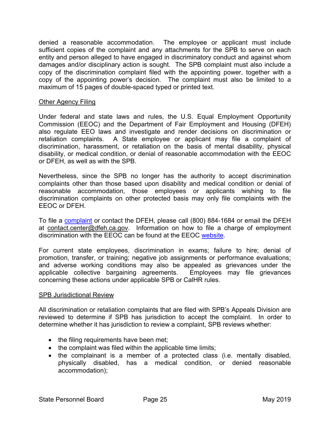denied a reasonable accommodation. The employee or applicant must include sufficient copies of the complaint and any attachments for the SPB to serve on each entity and person alleged to have engaged in discriminatory conduct and against whom damages and/or disciplinary action is sought. The SPB complaint must also include a copy of the discrimination complaint filed with the appointing power, together with a copy of the appointing power's decision. The complaint must also be limited to a maximum of 15 pages of double-spaced typed or printed text.

#### Other Agency Filing

Under federal and state laws and rules, the U.S. Equal Employment Opportunity Commission (EEOC) and the Department of Fair Employment and Housing (DFEH) also regulate EEO laws and investigate and render decisions on discrimination or retaliation complaints. A State employee or applicant may file a complaint of discrimination, harassment, or retaliation on the basis of mental disability, physical disability, or medical condition, or denial of reasonable accommodation with the EEOC or DFEH, as well as with the SPB.

Nevertheless, since the SPB no longer has the authority to accept discrimination complaints other than those based upon disability and medical condition or denial of reasonable accommodation, those employees or applicants wishing to file discrimination complaints on other protected basis may only file complaints with the EEOC or DFEH.

To file a complaint or contact the DFEH, please call (800) 884-1684 or email the DFEH at contact.center@dfeh.ca.gov. Information on how to file a charge of employment discrimination with the EEOC can be found at the EEOC website.

For current state employees, discrimination in exams; failure to hire; denial of promotion, transfer, or training; negative job assignments or performance evaluations; and adverse working conditions may also be appealed as grievances under the applicable collective bargaining agreements. Employees may file grievances concerning these actions under applicable SPB or CalHR rules.

#### SPB Jurisdictional Review

All discrimination or retaliation complaints that are filed with SPB's Appeals Division are reviewed to determine if SPB has jurisdiction to accept the complaint. In order to determine whether it has jurisdiction to review a complaint, SPB reviews whether:

- the filing requirements have been met;
- the complaint was filed within the applicable time limits;
- the complainant is a member of a protected class (i.e. mentally disabled, physically disabled, has a medical condition, or denied reasonable accommodation);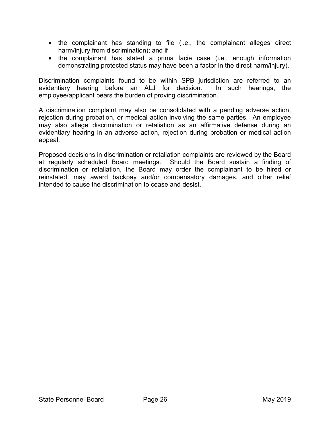- the complainant has standing to file (i.e., the complainant alleges direct harm/injury from discrimination); and if
- the complainant has stated a prima facie case (i.e., enough information demonstrating protected status may have been a factor in the direct harm/injury).

Discrimination complaints found to be within SPB jurisdiction are referred to an evidentiary hearing before an ALJ for decision. In such hearings, the employee/applicant bears the burden of proving discrimination.

A discrimination complaint may also be consolidated with a pending adverse action, rejection during probation, or medical action involving the same parties. An employee may also allege discrimination or retaliation as an affirmative defense during an evidentiary hearing in an adverse action, rejection during probation or medical action appeal.

Proposed decisions in discrimination or retaliation complaints are reviewed by the Board at regularly scheduled Board meetings. Should the Board sustain a finding of discrimination or retaliation, the Board may order the complainant to be hired or reinstated, may award backpay and/or compensatory damages, and other relief intended to cause the discrimination to cease and desist.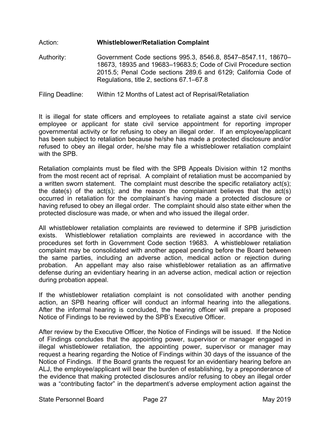### Action: **Whistleblower/Retaliation Complaint**

Authority: Government Code sections 995.3, 8546.8, 8547–8547.11, 18670– 18673, 18935 and 19683–19683.5; Code of Civil Procedure section 2015.5; Penal Code sections 289.6 and 6129; California Code of Regulations, title 2, sections 67.1–67.8

Filing Deadline: Within 12 Months of Latest act of Reprisal/Retaliation

It is illegal for state officers and employees to retaliate against a state civil service employee or applicant for state civil service appointment for reporting improper governmental activity or for refusing to obey an illegal order. If an employee/applicant has been subject to retaliation because he/she has made a protected disclosure and/or refused to obey an illegal order, he/she may file a whistleblower retaliation complaint with the SPB.

Retaliation complaints must be filed with the SPB Appeals Division within 12 months from the most recent act of reprisal. A complaint of retaliation must be accompanied by a written sworn statement. The complaint must describe the specific retaliatory act(s); the date(s) of the act(s); and the reason the complainant believes that the act(s) occurred in retaliation for the complainant's having made a protected disclosure or having refused to obey an illegal order. The complaint should also state either when the protected disclosure was made, or when and who issued the illegal order.

All whistleblower retaliation complaints are reviewed to determine if SPB jurisdiction exists. Whistleblower retaliation complaints are reviewed in accordance with the procedures set forth in Government Code section 19683. A whistleblower retaliation complaint may be consolidated with another appeal pending before the Board between the same parties, including an adverse action, medical action or rejection during probation. An appellant may also raise whistleblower retaliation as an affirmative defense during an evidentiary hearing in an adverse action, medical action or rejection during probation appeal.

If the whistleblower retaliation complaint is not consolidated with another pending action, an SPB hearing officer will conduct an informal hearing into the allegations. After the informal hearing is concluded, the hearing officer will prepare a proposed Notice of Findings to be reviewed by the SPB's Executive Officer.

After review by the Executive Officer, the Notice of Findings will be issued. If the Notice of Findings concludes that the appointing power, supervisor or manager engaged in illegal whistleblower retaliation, the appointing power, supervisor or manager may request a hearing regarding the Notice of Findings within 30 days of the issuance of the Notice of Findings. If the Board grants the request for an evidentiary hearing before an ALJ, the employee/applicant will bear the burden of establishing, by a preponderance of the evidence that making protected disclosures and/or refusing to obey an illegal order was a "contributing factor" in the department's adverse employment action against the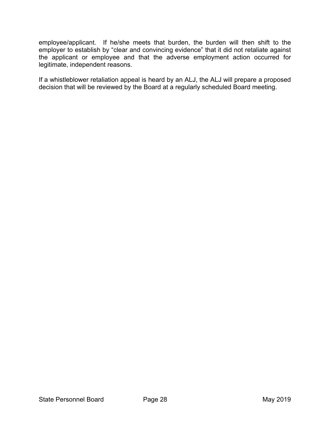employee/applicant. If he/she meets that burden, the burden will then shift to the employer to establish by "clear and convincing evidence" that it did not retaliate against the applicant or employee and that the adverse employment action occurred for legitimate, independent reasons.

If a whistleblower retaliation appeal is heard by an ALJ, the ALJ will prepare a proposed decision that will be reviewed by the Board at a regularly scheduled Board meeting.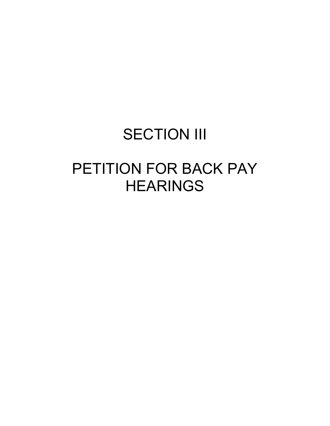## **SECTION III**

### PETITION FOR BACK PAY HEARINGS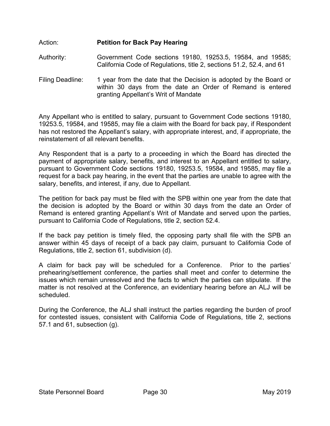### Action: **Petition for Back Pay Hearing**

- Authority: Government Code sections 19180, 19253.5, 19584, and 19585; California Code of Regulations, title 2, sections 51.2, 52.4, and 61
- Filing Deadline: 1 year from the date that the Decision is adopted by the Board or within 30 days from the date an Order of Remand is entered granting Appellant's Writ of Mandate

Any Appellant who is entitled to salary, pursuant to Government Code sections 19180, 19253.5, 19584, and 19585, may file a claim with the Board for back pay, if Respondent has not restored the Appellant's salary, with appropriate interest, and, if appropriate, the reinstatement of all relevant benefits.

Any Respondent that is a party to a proceeding in which the Board has directed the payment of appropriate salary, benefits, and interest to an Appellant entitled to salary, pursuant to Government Code sections 19180, 19253.5, 19584, and 19585, may file a request for a back pay hearing, in the event that the parties are unable to agree with the salary, benefits, and interest, if any, due to Appellant.

The petition for back pay must be filed with the SPB within one year from the date that the decision is adopted by the Board or within 30 days from the date an Order of Remand is entered granting Appellant's Writ of Mandate and served upon the parties, pursuant to California Code of Regulations, title 2, section 52.4.

If the back pay petition is timely filed, the opposing party shall file with the SPB an answer within 45 days of receipt of a back pay claim, pursuant to California Code of Regulations, title 2, section 61, subdivision (d).

A claim for back pay will be scheduled for a Conference. Prior to the parties' prehearing/settlement conference, the parties shall meet and confer to determine the issues which remain unresolved and the facts to which the parties can stipulate. If the matter is not resolved at the Conference, an evidentiary hearing before an ALJ will be scheduled.

During the Conference, the ALJ shall instruct the parties regarding the burden of proof for contested issues, consistent with California Code of Regulations, title 2, sections 57.1 and 61, subsection (g).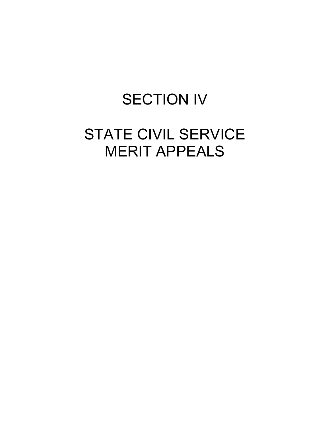### SECTION IV

### STATE CIVIL SERVICE MERIT APPEALS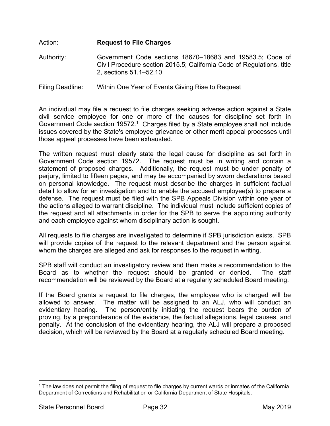| <b>Request to File Charges</b> |
|--------------------------------|
|                                |

Authority: Government Code sections 18670–18683 and 19583.5; Code of Civil Procedure section 2015.5; California Code of Regulations, title 2, sections 51.1–52.10

Filing Deadline: Within One Year of Events Giving Rise to Request

An individual may file a request to file charges seeking adverse action against a State civil service employee for one or more of the causes for discipline set forth in Government Code section 19572.<sup>1</sup> Charges filed by a State employee shall not include issues covered by the State's employee grievance or other merit appeal processes until those appeal processes have been exhausted.

The written request must clearly state the legal cause for discipline as set forth in Government Code section 19572. The request must be in writing and contain a statement of proposed charges. Additionally, the request must be under penalty of perjury, limited to fifteen pages, and may be accompanied by sworn declarations based on personal knowledge. The request must describe the charges in sufficient factual detail to allow for an investigation and to enable the accused employee(s) to prepare a defense. The request must be filed with the SPB Appeals Division within one year of the actions alleged to warrant discipline. The individual must include sufficient copies of the request and all attachments in order for the SPB to serve the appointing authority and each employee against whom disciplinary action is sought.

All requests to file charges are investigated to determine if SPB jurisdiction exists. SPB will provide copies of the request to the relevant department and the person against whom the charges are alleged and ask for responses to the request in writing.

SPB staff will conduct an investigatory review and then make a recommendation to the Board as to whether the request should be granted or denied. The staff recommendation will be reviewed by the Board at a regularly scheduled Board meeting.

If the Board grants a request to file charges, the employee who is charged will be allowed to answer. The matter will be assigned to an ALJ, who will conduct an evidentiary hearing. The person/entity initiating the request bears the burden of proving, by a preponderance of the evidence, the factual allegations, legal causes, and penalty. At the conclusion of the evidentiary hearing, the ALJ will prepare a proposed decision, which will be reviewed by the Board at a regularly scheduled Board meeting.

 $\overline{a}$ 

<sup>1</sup> The law does not permit the filing of request to file charges by current wards or inmates of the California Department of Corrections and Rehabilitation or California Department of State Hospitals.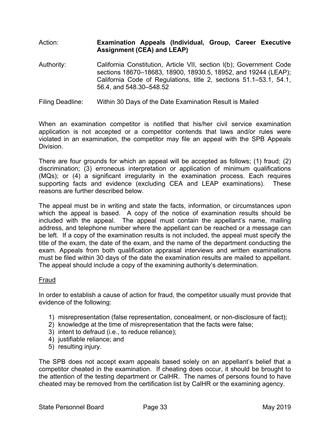### Action: **Examination Appeals (Individual, Group, Career Executive Assignment (CEA) and LEAP)**

Authority: California Constitution, Article VII, section l(b); Government Code sections 18670–18683, 18900, 18930.5, 18952, and 19244 (LEAP); California Code of Regulations, title 2, sections 51.1–53.1, 54.1, 56.4, and 548.30–548.52

Filing Deadline: Within 30 Days of the Date Examination Result is Mailed

When an examination competitor is notified that his/her civil service examination application is not accepted or a competitor contends that laws and/or rules were violated in an examination, the competitor may file an appeal with the SPB Appeals Division.

There are four grounds for which an appeal will be accepted as follows; (1) fraud; (2) discrimination; (3) erroneous interpretation or application of minimum qualifications (MQs); or (4) a significant irregularity in the examination process. Each requires supporting facts and evidence (excluding CEA and LEAP examinations). These reasons are further described below.

The appeal must be in writing and state the facts, information, or circumstances upon which the appeal is based. A copy of the notice of examination results should be included with the appeal. The appeal must contain the appellant's name, mailing address, and telephone number where the appellant can be reached or a message can be left. If a copy of the examination results is not included, the appeal must specify the title of the exam, the date of the exam, and the name of the department conducting the exam. Appeals from both qualification appraisal interviews and written examinations must be filed within 30 days of the date the examination results are mailed to appellant. The appeal should include a copy of the examining authority's determination.

### Fraud

In order to establish a cause of action for fraud, the competitor usually must provide that evidence of the following:

- 1) misrepresentation (false representation, concealment, or non-disclosure of fact);
- 2) knowledge at the time of misrepresentation that the facts were false;
- 3) intent to defraud (i.e., to reduce reliance);
- 4) justifiable reliance; and
- 5) resulting injury.

The SPB does not accept exam appeals based solely on an appellant's belief that a competitor cheated in the examination. If cheating does occur, it should be brought to the attention of the testing department or CalHR. The names of persons found to have cheated may be removed from the certification list by CalHR or the examining agency.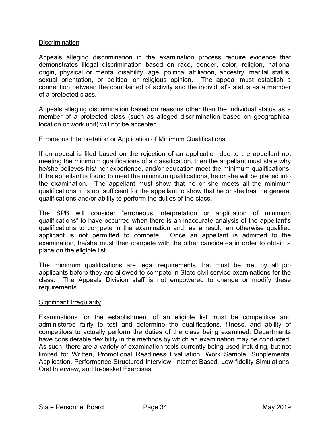### Discrimination

Appeals alleging discrimination in the examination process require evidence that demonstrates illegal discrimination based on race, gender, color, religion, national origin, physical or mental disability, age, political affiliation, ancestry, marital status, sexual orientation, or political or religious opinion. The appeal must establish a connection between the complained of activity and the individual's status as a member of a protected class.

Appeals alleging discrimination based on reasons other than the individual status as a member of a protected class (such as alleged discrimination based on geographical location or work unit) will not be accepted.

#### Erroneous Interpretation or Application of Minimum Qualifications

If an appeal is filed based on the rejection of an application due to the appellant not meeting the minimum qualifications of a classification, then the appellant must state why he/she believes his/ her experience, and/or education meet the minimum qualifications. If the appellant is found to meet the minimum qualifications, he or she will be placed into the examination. The appellant must show that he or she meets all the minimum qualifications; it is not sufficient for the appellant to show that he or she has the general qualifications and/or ability to perform the duties of the class.

The SPB will consider "erroneous interpretation or application of minimum qualifications" to have occurred when there is an inaccurate analysis of the appellant's qualifications to compete in the examination and, as a result, an otherwise qualified applicant is not permitted to compete. Once an appellant is admitted to the examination, he/she must then compete with the other candidates in order to obtain a place on the eligible list.

The minimum qualifications are legal requirements that must be met by all job applicants before they are allowed to compete in State civil service examinations for the class. The Appeals Division staff is not empowered to change or modify these requirements.

#### Significant Irregularity

Examinations for the establishment of an eligible list must be competitive and administered fairly to test and determine the qualifications, fitness, and ability of competitors to actually perform the duties of the class being examined. Departments have considerable flexibility in the methods by which an examination may be conducted. As such, there are a variety of examination tools currently being used including, but not limited to: Written, Promotional Readiness Evaluation, Work Sample, Supplemental Application, Performance-Structured Interview, Internet Based, Low-fidelity Simulations, Oral Interview, and In-basket Exercises.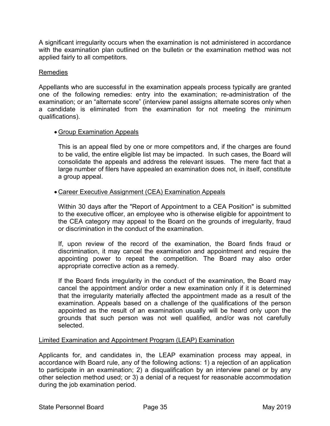A significant irregularity occurs when the examination is not administered in accordance with the examination plan outlined on the bulletin or the examination method was not applied fairly to all competitors.

### Remedies

Appellants who are successful in the examination appeals process typically are granted one of the following remedies: entry into the examination; re-administration of the examination; or an "alternate score" (interview panel assigns alternate scores only when a candidate is eliminated from the examination for not meeting the minimum qualifications).

#### Group Examination Appeals

This is an appeal filed by one or more competitors and, if the charges are found to be valid, the entire eligible list may be impacted. In such cases, the Board will consolidate the appeals and address the relevant issues. The mere fact that a large number of filers have appealed an examination does not, in itself, constitute a group appeal.

### Career Executive Assignment (CEA) Examination Appeals

Within 30 days after the "Report of Appointment to a CEA Position" is submitted to the executive officer, an employee who is otherwise eligible for appointment to the CEA category may appeal to the Board on the grounds of irregularity, fraud or discrimination in the conduct of the examination.

If, upon review of the record of the examination, the Board finds fraud or discrimination, it may cancel the examination and appointment and require the appointing power to repeat the competition. The Board may also order appropriate corrective action as a remedy.

If the Board finds irregularity in the conduct of the examination, the Board may cancel the appointment and/or order a new examination only if it is determined that the irregularity materially affected the appointment made as a result of the examination. Appeals based on a challenge of the qualifications of the person appointed as the result of an examination usually will be heard only upon the grounds that such person was not well qualified, and/or was not carefully selected.

#### Limited Examination and Appointment Program (LEAP) Examination

Applicants for, and candidates in, the LEAP examination process may appeal, in accordance with Board rule, any of the following actions: 1) a rejection of an application to participate in an examination; 2) a disqualification by an interview panel or by any other selection method used; or 3) a denial of a request for reasonable accommodation during the job examination period.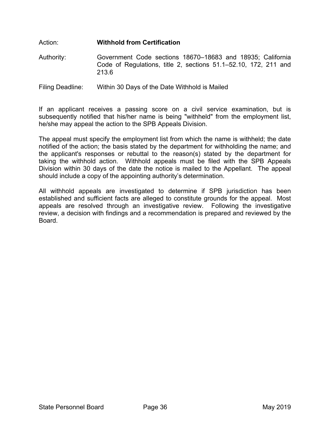### Action: **Withhold from Certification**

Authority: Government Code sections 18670–18683 and 18935; California Code of Regulations, title 2, sections 51.1–52.10, 172, 211 and 213.6

Filing Deadline: Within 30 Days of the Date Withhold is Mailed

If an applicant receives a passing score on a civil service examination, but is subsequently notified that his/her name is being "withheld" from the employment list, he/she may appeal the action to the SPB Appeals Division.

The appeal must specify the employment list from which the name is withheld; the date notified of the action; the basis stated by the department for withholding the name; and the applicant's responses or rebuttal to the reason(s) stated by the department for taking the withhold action. Withhold appeals must be filed with the SPB Appeals Division within 30 days of the date the notice is mailed to the Appellant. The appeal should include a copy of the appointing authority's determination.

All withhold appeals are investigated to determine if SPB jurisdiction has been established and sufficient facts are alleged to constitute grounds for the appeal. Most appeals are resolved through an investigative review. Following the investigative review, a decision with findings and a recommendation is prepared and reviewed by the Board.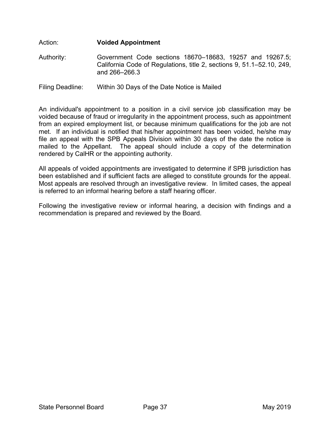Action: **Voided Appointment**

Authority: Government Code sections 18670–18683, 19257 and 19267.5; California Code of Regulations, title 2, sections 9, 51.1–52.10, 249, and 266–266.3

Filing Deadline: Within 30 Days of the Date Notice is Mailed

An individual's appointment to a position in a civil service job classification may be voided because of fraud or irregularity in the appointment process, such as appointment from an expired employment list, or because minimum qualifications for the job are not met. If an individual is notified that his/her appointment has been voided, he/she may file an appeal with the SPB Appeals Division within 30 days of the date the notice is mailed to the Appellant. The appeal should include a copy of the determination rendered by CalHR or the appointing authority.

All appeals of voided appointments are investigated to determine if SPB jurisdiction has been established and if sufficient facts are alleged to constitute grounds for the appeal. Most appeals are resolved through an investigative review. In limited cases, the appeal is referred to an informal hearing before a staff hearing officer.

Following the investigative review or informal hearing, a decision with findings and a recommendation is prepared and reviewed by the Board.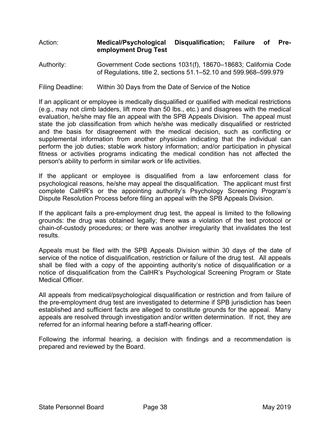### Action: **Medical/Psychological Disqualification; Failure of Preemployment Drug Test**

Authority: Government Code sections 1031(f), 18670–18683; California Code of Regulations, title 2, sections 51.1–52.10 and 599.968–599.979

Filing Deadline: Within 30 Days from the Date of Service of the Notice

If an applicant or employee is medically disqualified or qualified with medical restrictions (e.g., may not climb ladders, lift more than 50 lbs., etc.) and disagrees with the medical evaluation, he/she may file an appeal with the SPB Appeals Division. The appeal must state the job classification from which he/she was medically disqualified or restricted and the basis for disagreement with the medical decision, such as conflicting or supplemental information from another physician indicating that the individual can perform the job duties; stable work history information; and/or participation in physical fitness or activities programs indicating the medical condition has not affected the person's ability to perform in similar work or life activities.

If the applicant or employee is disqualified from a law enforcement class for psychological reasons, he/she may appeal the disqualification. The applicant must first complete CalHR's or the appointing authority's Psychology Screening Program's Dispute Resolution Process before filing an appeal with the SPB Appeals Division.

If the applicant fails a pre-employment drug test, the appeal is limited to the following grounds: the drug was obtained legally; there was a violation of the test protocol or chain-of-custody procedures; or there was another irregularity that invalidates the test results.

Appeals must be filed with the SPB Appeals Division within 30 days of the date of service of the notice of disqualification, restriction or failure of the drug test. All appeals shall be filed with a copy of the appointing authority's notice of disqualification or a notice of disqualification from the CalHR's Psychological Screening Program or State Medical Officer.

All appeals from medical/psychological disqualification or restriction and from failure of the pre-employment drug test are investigated to determine if SPB jurisdiction has been established and sufficient facts are alleged to constitute grounds for the appeal. Many appeals are resolved through investigation and/or written determination. If not, they are referred for an informal hearing before a staff-hearing officer.

Following the informal hearing, a decision with findings and a recommendation is prepared and reviewed by the Board.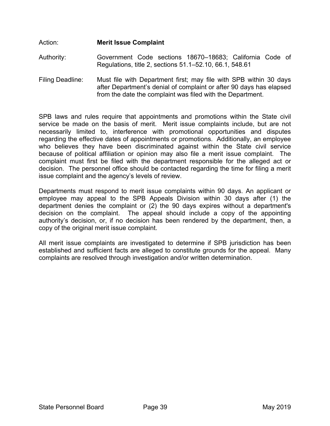### Action: **Merit Issue Complaint**

- Authority: Government Code sections 18670–18683; California Code of Regulations, title 2, sections 51.1–52.10, 66.1, 548.61
- Filing Deadline: Must file with Department first; may file with SPB within 30 days after Department's denial of complaint or after 90 days has elapsed from the date the complaint was filed with the Department.

SPB laws and rules require that appointments and promotions within the State civil service be made on the basis of merit. Merit issue complaints include, but are not necessarily limited to, interference with promotional opportunities and disputes regarding the effective dates of appointments or promotions. Additionally, an employee who believes they have been discriminated against within the State civil service because of political affiliation or opinion may also file a merit issue complaint. The complaint must first be filed with the department responsible for the alleged act or decision. The personnel office should be contacted regarding the time for filing a merit issue complaint and the agency's levels of review.

Departments must respond to merit issue complaints within 90 days. An applicant or employee may appeal to the SPB Appeals Division within 30 days after (1) the department denies the complaint or (2) the 90 days expires without a department's decision on the complaint. The appeal should include a copy of the appointing authority's decision, or, if no decision has been rendered by the department, then, a copy of the original merit issue complaint.

All merit issue complaints are investigated to determine if SPB jurisdiction has been established and sufficient facts are alleged to constitute grounds for the appeal. Many complaints are resolved through investigation and/or written determination.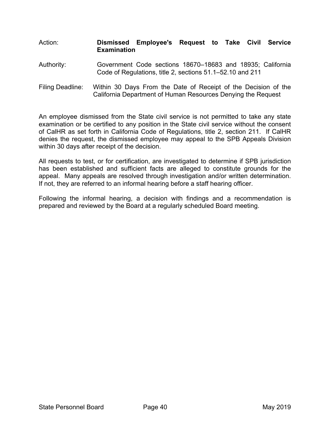### Action: **Dismissed Employee's Request to Take Civil Service Examination**

- Authority: Government Code sections 18670–18683 and 18935; California Code of Regulations, title 2, sections 51.1–52.10 and 211
- Filing Deadline: Within 30 Days From the Date of Receipt of the Decision of the California Department of Human Resources Denying the Request

An employee dismissed from the State civil service is not permitted to take any state examination or be certified to any position in the State civil service without the consent of CalHR as set forth in California Code of Regulations, title 2, section 211. If CalHR denies the request, the dismissed employee may appeal to the SPB Appeals Division within 30 days after receipt of the decision.

All requests to test, or for certification, are investigated to determine if SPB jurisdiction has been established and sufficient facts are alleged to constitute grounds for the appeal. Many appeals are resolved through investigation and/or written determination. If not, they are referred to an informal hearing before a staff hearing officer.

Following the informal hearing, a decision with findings and a recommendation is prepared and reviewed by the Board at a regularly scheduled Board meeting.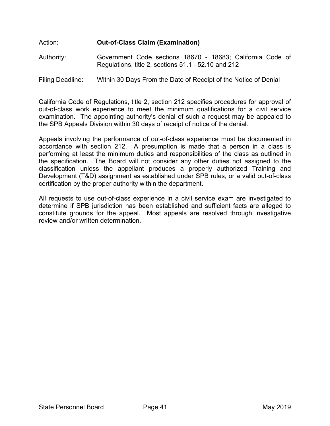### Action: **Out-of-Class Claim (Examination)**

- Authority: Government Code sections 18670 18683; California Code of Regulations, title 2, sections 51.1 - 52.10 and 212
- Filing Deadline: Within 30 Days From the Date of Receipt of the Notice of Denial

California Code of Regulations, title 2, section 212 specifies procedures for approval of out-of-class work experience to meet the minimum qualifications for a civil service examination. The appointing authority's denial of such a request may be appealed to the SPB Appeals Division within 30 days of receipt of notice of the denial.

Appeals involving the performance of out-of-class experience must be documented in accordance with section 212. A presumption is made that a person in a class is performing at least the minimum duties and responsibilities of the class as outlined in the specification. The Board will not consider any other duties not assigned to the classification unless the appellant produces a properly authorized Training and Development (T&D) assignment as established under SPB rules, or a valid out-of-class certification by the proper authority within the department.

All requests to use out-of-class experience in a civil service exam are investigated to determine if SPB jurisdiction has been established and sufficient facts are alleged to constitute grounds for the appeal. Most appeals are resolved through investigative review and/or written determination.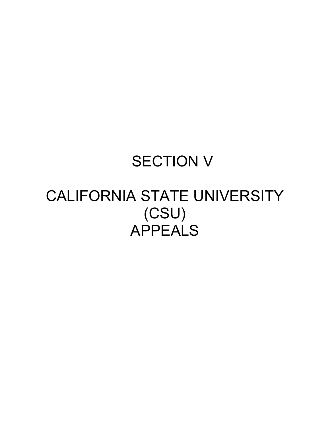## SECTION V

### CALIFORNIA STATE UNIVERSITY (CSU) APPEALS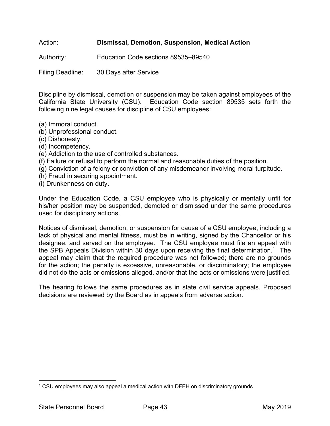Action: **Dismissal, Demotion, Suspension, Medical Action** Authority: Education Code sections 89535–89540

Filing Deadline: 30 Days after Service

Discipline by dismissal, demotion or suspension may be taken against employees of the California State University (CSU). Education Code section 89535 sets forth the following nine legal causes for discipline of CSU employees:

- (a) Immoral conduct.
- (b) Unprofessional conduct.
- (c) Dishonesty.
- (d) Incompetency.
- (e) Addiction to the use of controlled substances.
- (f) Failure or refusal to perform the normal and reasonable duties of the position.
- (g) Conviction of a felony or conviction of any misdemeanor involving moral turpitude.
- (h) Fraud in securing appointment.

(i) Drunkenness on duty.

Under the Education Code, a CSU employee who is physically or mentally unfit for his/her position may be suspended, demoted or dismissed under the same procedures used for disciplinary actions.

Notices of dismissal, demotion, or suspension for cause of a CSU employee, including a lack of physical and mental fitness, must be in writing, signed by the Chancellor or his designee, and served on the employee. The CSU employee must file an appeal with the SPB Appeals Division within 30 days upon receiving the final determination.<sup>1</sup> The appeal may claim that the required procedure was not followed; there are no grounds for the action; the penalty is excessive, unreasonable, or discriminatory; the employee did not do the acts or omissions alleged, and/or that the acts or omissions were justified.

The hearing follows the same procedures as in state civil service appeals. Proposed decisions are reviewed by the Board as in appeals from adverse action.

 $\overline{a}$ 1 CSU employees may also appeal a medical action with DFEH on discriminatory grounds.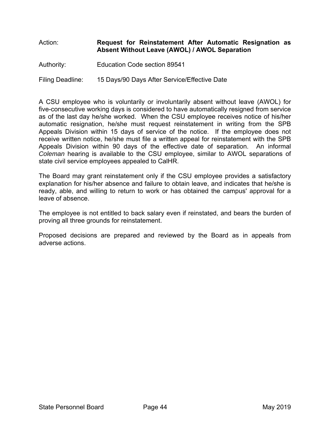### Action: **Request for Reinstatement After Automatic Resignation as Absent Without Leave (AWOL) / AWOL Separation**

Authority: Education Code section 89541

Filing Deadline: 15 Days/90 Days After Service/Effective Date

A CSU employee who is voluntarily or involuntarily absent without leave (AWOL) for five-consecutive working days is considered to have automatically resigned from service as of the last day he/she worked. When the CSU employee receives notice of his/her automatic resignation, he/she must request reinstatement in writing from the SPB Appeals Division within 15 days of service of the notice. If the employee does not receive written notice, he/she must file a written appeal for reinstatement with the SPB Appeals Division within 90 days of the effective date of separation. An informal *Coleman* hearing is available to the CSU employee, similar to AWOL separations of state civil service employees appealed to CalHR.

The Board may grant reinstatement only if the CSU employee provides a satisfactory explanation for his/her absence and failure to obtain leave, and indicates that he/she is ready, able, and willing to return to work or has obtained the campus' approval for a leave of absence.

The employee is not entitled to back salary even if reinstated, and bears the burden of proving all three grounds for reinstatement.

Proposed decisions are prepared and reviewed by the Board as in appeals from adverse actions.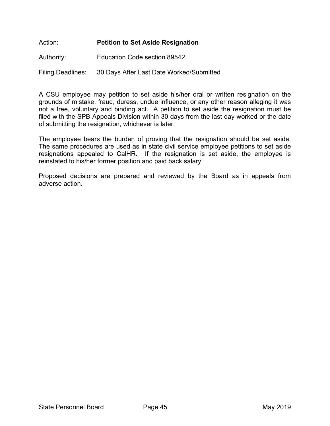### Action: **Petition to Set Aside Resignation**

Authority: Education Code section 89542

Filing Deadlines: 30 Days After Last Date Worked/Submitted

A CSU employee may petition to set aside his/her oral or written resignation on the grounds of mistake, fraud, duress, undue influence, or any other reason alleging it was not a free, voluntary and binding act. A petition to set aside the resignation must be filed with the SPB Appeals Division within 30 days from the last day worked or the date of submitting the resignation, whichever is later.

The employee bears the burden of proving that the resignation should be set aside. The same procedures are used as in state civil service employee petitions to set aside resignations appealed to CalHR. If the resignation is set aside, the employee is reinstated to his/her former position and paid back salary.

Proposed decisions are prepared and reviewed by the Board as in appeals from adverse action.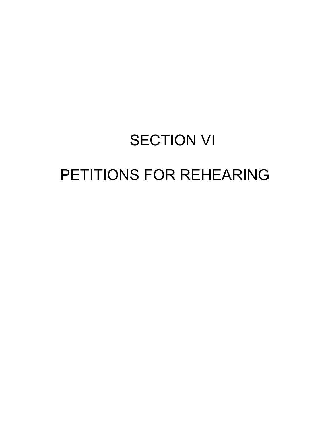# SECTION VI PETITIONS FOR REHEARING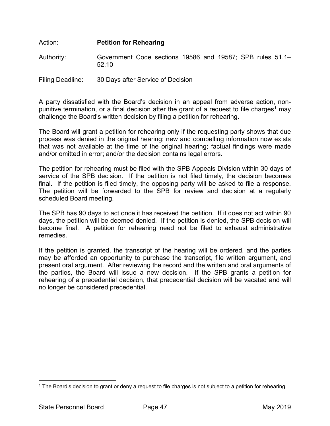Action: **Petition for Rehearing**

Authority: Government Code sections 19586 and 19587; SPB rules 51.1– 52.10

Filing Deadline: 30 Days after Service of Decision

A party dissatisfied with the Board's decision in an appeal from adverse action, nonpunitive termination, or a final decision after the grant of a request to file charges<sup>1</sup> may challenge the Board's written decision by filing a petition for rehearing.

The Board will grant a petition for rehearing only if the requesting party shows that due process was denied in the original hearing; new and compelling information now exists that was not available at the time of the original hearing; factual findings were made and/or omitted in error; and/or the decision contains legal errors.

The petition for rehearing must be filed with the SPB Appeals Division within 30 days of service of the SPB decision. If the petition is not filed timely, the decision becomes final. If the petition is filed timely, the opposing party will be asked to file a response. The petition will be forwarded to the SPB for review and decision at a regularly scheduled Board meeting.

The SPB has 90 days to act once it has received the petition. If it does not act within 90 days, the petition will be deemed denied. If the petition is denied, the SPB decision will become final. A petition for rehearing need not be filed to exhaust administrative remedies.

If the petition is granted, the transcript of the hearing will be ordered, and the parties may be afforded an opportunity to purchase the transcript, file written argument, and present oral argument. After reviewing the record and the written and oral arguments of the parties, the Board will issue a new decision. If the SPB grants a petition for rehearing of a precedential decision, that precedential decision will be vacated and will no longer be considered precedential.

<u>.</u>

<sup>&</sup>lt;sup>1</sup> The Board's decision to grant or deny a request to file charges is not subject to a petition for rehearing.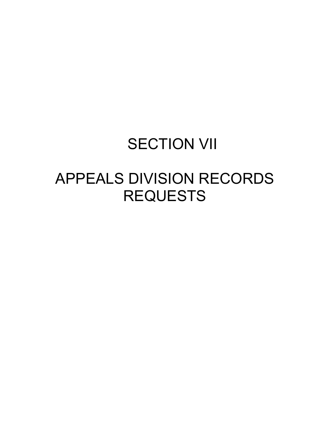## SECTION VII

### APPEALS DIVISION RECORDS REQUESTS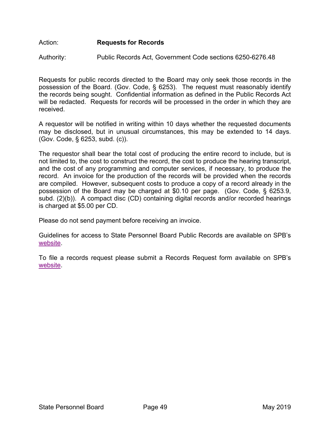### Action: **Requests for Records**

Authority: Public Records Act, Government Code sections 6250-6276.48

Requests for public records directed to the Board may only seek those records in the possession of the Board. (Gov. Code, § 6253). The request must reasonably identify the records being sought. Confidential information as defined in the Public Records Act will be redacted. Requests for records will be processed in the order in which they are received.

A requestor will be notified in writing within 10 days whether the requested documents may be disclosed, but in unusual circumstances, this may be extended to 14 days. (Gov. Code, § 6253, subd. (c)).

The requestor shall bear the total cost of producing the entire record to include, but is not limited to, the cost to construct the record, the cost to produce the hearing transcript, and the cost of any programming and computer services, if necessary, to produce the record. An invoice for the production of the records will be provided when the records are compiled. However, subsequent costs to produce a copy of a record already in the possession of the Board may be charged at \$0.10 per page. (Gov. Code, § 6253.9, subd. (2)(b)). A compact disc (CD) containing digital records and/or recorded hearings is charged at \$5.00 per CD.

Please do not send payment before receiving an invoice.

Guidelines for access to State Personnel Board Public Records are available on SPB's website.

To file a records request please submit a Records Request form available on SPB's website.